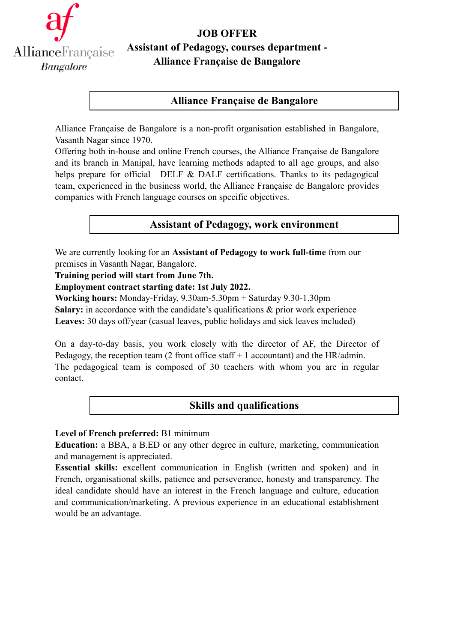

# **JOB OFFER**

# **Assistant of Pedagogy, courses department - Alliance Française de Bangalore**

## **Alliance Française de Bangalore**

Alliance Française de Bangalore is a non-profit organisation established in Bangalore, Vasanth Nagar since 1970.

Offering both in-house and online French courses, the Alliance Française de Bangalore and its branch in Manipal, have learning methods adapted to all age groups, and also helps prepare for official DELF & DALF certifications. Thanks to its pedagogical team, experienced in the business world, the Alliance Française de Bangalore provides companies with French language courses on specific objectives.

## **Assistant of Pedagogy, work environment**

We are currently looking for an **Assistant of Pedagogy to work full-time** from our premises in Vasanth Nagar, Bangalore.

**Training period will start from June 7th.**

#### **Employment contract starting date: 1st July 2022.**

**Working hours:** Monday-Friday, 9.30am-5.30pm + Saturday 9.30-1.30pm **Salary:** in accordance with the candidate's qualifications & prior work experience **Leaves:** 30 days off/year (casual leaves, public holidays and sick leaves included)

On a day-to-day basis, you work closely with the director of AF, the Director of Pedagogy, the reception team (2 front office staff  $+1$  accountant) and the HR/admin. The pedagogical team is composed of 30 teachers with whom you are in regular contact.

# **Skills and qualifications**

## **Level of French preferred:** B1 minimum

**Education:** a BBA, a B.ED or any other degree in culture, marketing, communication and management is appreciated.

**Essential skills:** excellent communication in English (written and spoken) and in French, organisational skills, patience and perseverance, honesty and transparency. The ideal candidate should have an interest in the French language and culture, education and communication/marketing. A previous experience in an educational establishment would be an advantage.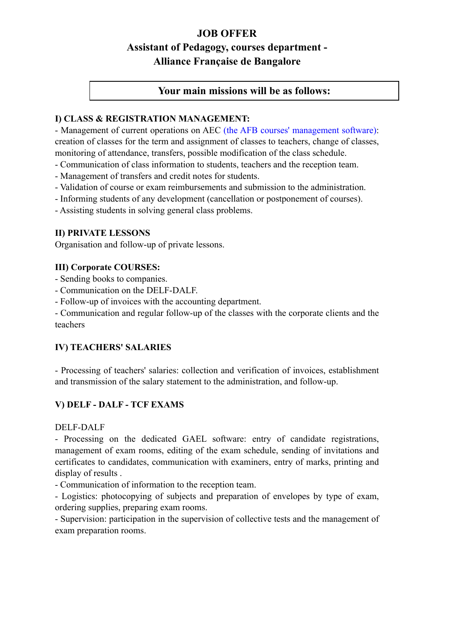## **JOB OFFER**

# **Assistant of Pedagogy, courses department - Alliance Française de Bangalore**

#### **Your main missions will be as follows:**

#### **I) CLASS & REGISTRATION MANAGEMENT:**

- Management of current operations on AEC (the AFB courses' management software): creation of classes for the term and assignment of classes to teachers, change of classes, monitoring of attendance, transfers, possible modification of the class schedule.

- Communication of class information to students, teachers and the reception team.

- Management of transfers and credit notes for students.

- Validation of course or exam reimbursements and submission to the administration.

- Informing students of any development (cancellation or postponement of courses).

- Assisting students in solving general class problems.

#### **II) PRIVATE LESSONS**

Organisation and follow-up of private lessons.

#### **III) Corporate COURSES:**

- Sending books to companies.
- Communication on the DELF-DALF.
- Follow-up of invoices with the accounting department.

- Communication and regular follow-up of the classes with the corporate clients and the teachers

#### **IV) TEACHERS' SALARIES**

- Processing of teachers' salaries: collection and verification of invoices, establishment and transmission of the salary statement to the administration, and follow-up.

## **V) DELF - DALF - TCF EXAMS**

#### DELF-DALF

- Processing on the dedicated GAEL software: entry of candidate registrations, management of exam rooms, editing of the exam schedule, sending of invitations and certificates to candidates, communication with examiners, entry of marks, printing and display of results .

- Communication of information to the reception team.

- Logistics: photocopying of subjects and preparation of envelopes by type of exam, ordering supplies, preparing exam rooms.

- Supervision: participation in the supervision of collective tests and the management of exam preparation rooms.